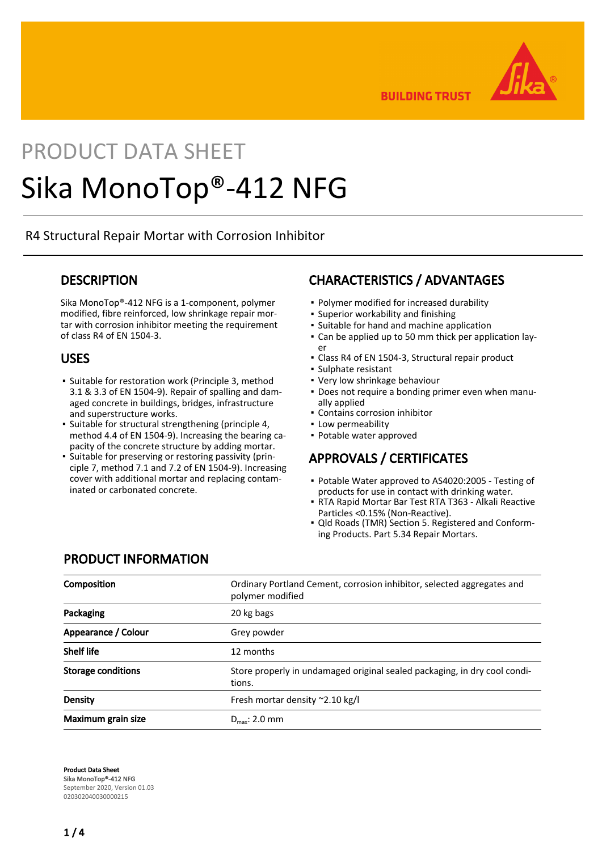

**BUILDING TRUST** 

# PRODUCT DATA SHEET Sika MonoTop®-412 NFG

### R4 Structural Repair Mortar with Corrosion Inhibitor

### **DESCRIPTION**

Sika MonoTop®-412 NFG is a 1-component, polymer modified, fibre reinforced, low shrinkage repair mortar with corrosion inhibitor meeting the requirement of class R4 of EN 1504-3.

### USES

- **•** Suitable for restoration work (Principle 3, method 3.1 & 3.3 of EN 1504-9). Repair of spalling and damaged concrete in buildings, bridges, infrastructure and superstructure works.
- Suitable for structural strengthening (principle 4, method 4.4 of EN 1504-9). Increasing the bearing capacity of the concrete structure by adding mortar.
- **Example for preserving or restoring passivity (prin**ciple 7, method 7.1 and 7.2 of EN 1504-9). Increasing cover with additional mortar and replacing contaminated or carbonated concrete.

# CHARACTERISTICS / ADVANTAGES

- Polymer modified for increased durability
- Superior workability and finishing
- Suitable for hand and machine application
- Can be applied up to 50 mm thick per application lay-▪ er
- Class R4 of EN 1504-3, Structural repair product
- Sulphate resistant
- Very low shrinkage behaviour
- Does not require a bonding primer even when manu-▪ ally applied
- Contains corrosion inhibitor
- Low permeability
- Potable water approved

# APPROVALS / CERTIFICATES

- Potable Water approved to AS4020:2005 Testing of products for use in contact with drinking water.
- RTA Rapid Mortar Bar Test RTA T363 Alkali Reactive Particles <0.15% (Non-Reactive).
- Qld Roads (TMR) Section 5. Registered and Conform-▪ ing Products. Part 5.34 Repair Mortars.

### PRODUCT INFORMATION

| <b>Composition</b>        | Ordinary Portland Cement, corrosion inhibitor, selected aggregates and<br>polymer modified |
|---------------------------|--------------------------------------------------------------------------------------------|
| Packaging                 | 20 kg bags                                                                                 |
| Appearance / Colour       | Grey powder                                                                                |
| <b>Shelf life</b>         | 12 months                                                                                  |
| <b>Storage conditions</b> | Store properly in undamaged original sealed packaging, in dry cool condi-<br>tions.        |
| Density                   | Fresh mortar density $\approx$ 2.10 kg/l                                                   |
| Maximum grain size        | $D_{\text{max}}$ : 2.0 mm                                                                  |

Product Data Sheet Sika MonoTop®-412 NFG September 2020, Version 01.03 020302040030000215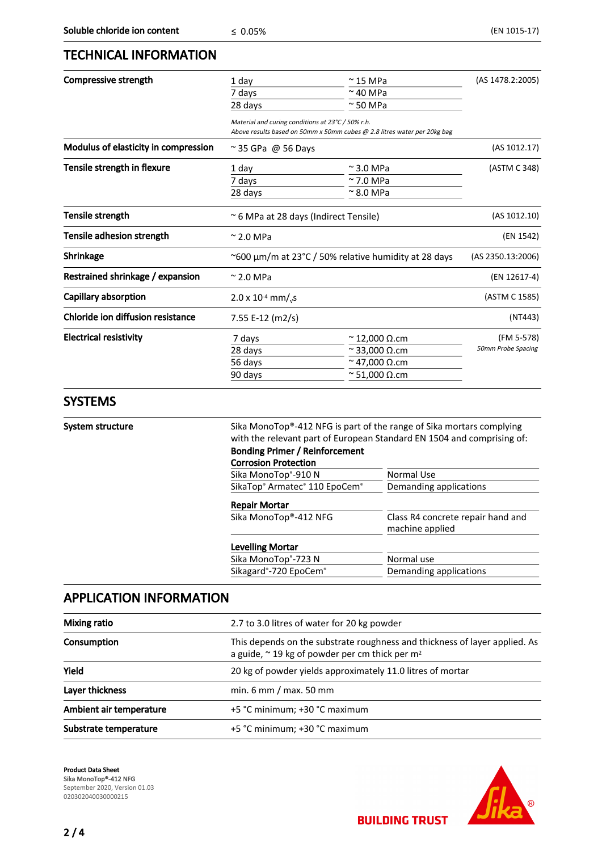### TECHNICAL INFORMATION

| Compressive strength                 | 1 day                                                                                                                         | $~\sim$ 15 MPa                | (AS 1478.2:2005)   |
|--------------------------------------|-------------------------------------------------------------------------------------------------------------------------------|-------------------------------|--------------------|
|                                      | 7 days                                                                                                                        | $\sim$ 40 MPa                 |                    |
|                                      | 28 days                                                                                                                       | $\sim$ 50 MPa                 |                    |
|                                      | Material and curing conditions at 23°C / 50% r.h.<br>Above results based on 50mm x 50mm cubes @ 2.8 litres water per 20kg bag |                               |                    |
| Modulus of elasticity in compression | $\approx$ 35 GPa @ 56 Days                                                                                                    |                               | (AS 1012.17)       |
| Tensile strength in flexure          | 1 dav                                                                                                                         | $\sim$ 3.0 MPa                | (ASTM C 348)       |
|                                      | 7 days                                                                                                                        | $\approx$ 7.0 MPa             |                    |
|                                      | 28 days                                                                                                                       | $\approx$ 8.0 MPa             |                    |
| Tensile strength                     | ~ 6 MPa at 28 days (Indirect Tensile)                                                                                         |                               | (AS 1012.10)       |
| Tensile adhesion strength            | $\approx$ 2.0 MPa                                                                                                             |                               | (EN 1542)          |
| Shrinkage                            | $\sim$ 600 $\mu$ m/m at 23°C / 50% relative humidity at 28 days                                                               |                               | (AS 2350.13:2006)  |
| Restrained shrinkage / expansion     | $\approx$ 2.0 MPa                                                                                                             |                               | (EN 12617-4)       |
| Capillary absorption                 | $2.0 \times 10^{-4}$ mm/ <sub>v</sub> s                                                                                       |                               | (ASTM C 1585)      |
| Chloride ion diffusion resistance    | 7.55 E-12 (m2/s)                                                                                                              |                               | (NT443)            |
| <b>Electrical resistivity</b>        | 7 days                                                                                                                        | $\sim$ 12,000 $\Omega$ .cm    | (FM 5-578)         |
|                                      | 28 days                                                                                                                       | $\approx$ 33,000 $\Omega$ .cm | 50mm Probe Spacing |
|                                      | 56 days                                                                                                                       | $\sim$ 47,000 $\Omega$ .cm    |                    |
|                                      | 90 days                                                                                                                       | $^{\sim}$ 51,000 Ω.cm         |                    |

### SYSTEMS

System structure Sika MonoTop®-412 NFG is part of the range of Sika mortars complying with the relevant part of European Standard EN 1504 and comprising of: Bonding Primer / Reinforcement Corrosion Protection Sika MonoTop®-910 N Normal Use SikaTop® Armatec® 110 EpoCem® Demanding applications Repair Mortar Sika MonoTop®-412 NFG Class R4 concrete repair hand and machine applied Levelling Mortar Sika MonoTop®-723 N<br>Sikagard®-720 EpoCem® Demanding Demanding applications

### APPLICATION INFORMATION

| <b>Mixing ratio</b>     | 2.7 to 3.0 litres of water for 20 kg powder                                                                                                   |
|-------------------------|-----------------------------------------------------------------------------------------------------------------------------------------------|
| Consumption             | This depends on the substrate roughness and thickness of layer applied. As<br>a guide, $\sim$ 19 kg of powder per cm thick per m <sup>2</sup> |
| <b>Yield</b>            | 20 kg of powder yields approximately 11.0 litres of mortar                                                                                    |
| Layer thickness         | min. 6 mm / max. 50 mm                                                                                                                        |
| Ambient air temperature | +5 °C minimum; +30 °C maximum                                                                                                                 |
| Substrate temperature   | +5 °C minimum; +30 °C maximum                                                                                                                 |

Product Data Sheet Sika MonoTop®-412 NFG September 2020, Version 01.03 020302040030000215



**BUILDING TRUST**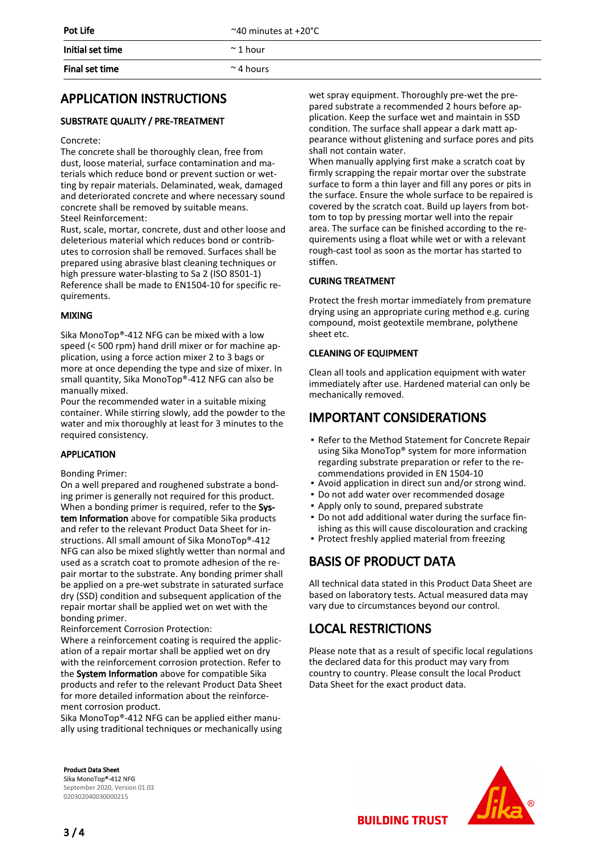### APPLICATION INSTRUCTIONS

### SUBSTRATE QUALITY / PRE-TREATMENT

#### Concrete:

The concrete shall be thoroughly clean, free from dust, loose material, surface contamination and materials which reduce bond or prevent suction or wetting by repair materials. Delaminated, weak, damaged and deteriorated concrete and where necessary sound concrete shall be removed by suitable means. Steel Reinforcement:

Rust, scale, mortar, concrete, dust and other loose and deleterious material which reduces bond or contributes to corrosion shall be removed. Surfaces shall be prepared using abrasive blast cleaning techniques or high pressure water-blasting to Sa 2 (ISO 8501-1) Reference shall be made to EN1504-10 for specific requirements.

#### MIXING

Sika MonoTop®-412 NFG can be mixed with a low speed (< 500 rpm) hand drill mixer or for machine application, using a force action mixer 2 to 3 bags or more at once depending the type and size of mixer. In small quantity, Sika MonoTop®-412 NFG can also be manually mixed.

Pour the recommended water in a suitable mixing container. While stirring slowly, add the powder to the water and mix thoroughly at least for 3 minutes to the required consistency.

### APPLICATION

#### Bonding Primer:

On a well prepared and roughened substrate a bonding primer is generally not required for this product. When a bonding primer is required, refer to the System Information above for compatible Sika products and refer to the relevant Product Data Sheet for instructions. All small amount of Sika MonoTop®-412 NFG can also be mixed slightly wetter than normal and used as a scratch coat to promote adhesion of the repair mortar to the substrate. Any bonding primer shall be applied on a pre-wet substrate in saturated surface dry (SSD) condition and subsequent application of the repair mortar shall be applied wet on wet with the bonding primer.

Reinforcement Corrosion Protection:

Where a reinforcement coating is required the application of a repair mortar shall be applied wet on dry with the reinforcement corrosion protection. Refer to the System Information above for compatible Sika products and refer to the relevant Product Data Sheet for more detailed information about the reinforcement corrosion product.

Sika MonoTop®-412 NFG can be applied either manually using traditional techniques or mechanically using

Product Data Sheet Sika MonoTop®-412 NFG September 2020, Version 01.03 020302040030000215

wet spray equipment. Thoroughly pre-wet the prepared substrate a recommended 2 hours before application. Keep the surface wet and maintain in SSD condition. The surface shall appear a dark matt appearance without glistening and surface pores and pits shall not contain water.

When manually applying first make a scratch coat by firmly scrapping the repair mortar over the substrate surface to form a thin layer and fill any pores or pits in the surface. Ensure the whole surface to be repaired is covered by the scratch coat. Build up layers from bottom to top by pressing mortar well into the repair area. The surface can be finished according to the requirements using a float while wet or with a relevant rough-cast tool as soon as the mortar has started to stiffen.

### CURING TREATMENT

Protect the fresh mortar immediately from premature drying using an appropriate curing method e.g. curing compound, moist geotextile membrane, polythene sheet etc.

### CLEANING OF EQUIPMENT

Clean all tools and application equipment with water immediately after use. Hardened material can only be mechanically removed.

### IMPORTANT CONSIDERATIONS

- Refer to the Method Statement for Concrete Repair using Sika MonoTop® system for more information regarding substrate preparation or refer to the recommendations provided in EN 1504-10
- Avoid application in direct sun and/or strong wind.
- Do not add water over recommended dosage
- Apply only to sound, prepared substrate
- Do not add additional water during the surface fin-▪ ishing as this will cause discolouration and cracking
- **Protect freshly applied material from freezing**

# BASIS OF PRODUCT DATA

All technical data stated in this Product Data Sheet are based on laboratory tests. Actual measured data may vary due to circumstances beyond our control.

# LOCAL RESTRICTIONS

Please note that as a result of specific local regulations the declared data for this product may vary from country to country. Please consult the local Product Data Sheet for the exact product data.